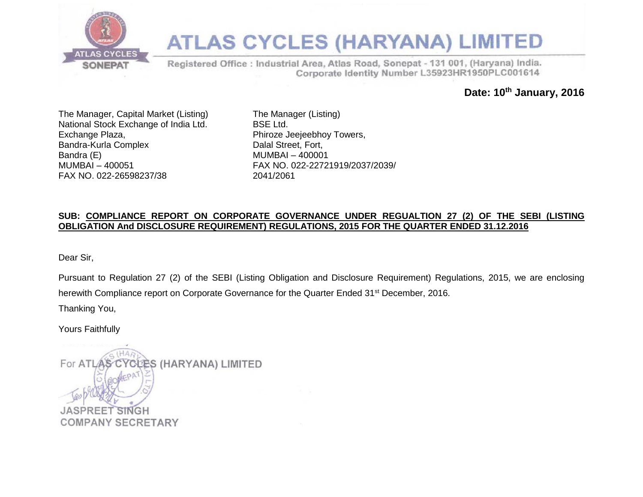

## **ATLAS CYCLES (HARYANA) LIMITED**

Registered Office : Industrial Area, Atlas Road, Sonepat - 131 001, (Haryana) India. Corporate Identity Number L35923HR1950PLC001614

**Date: 10th January, 2016**

The Manager, Capital Market (Listing) National Stock Exchange of India Ltd. Exchange Plaza, Bandra-Kurla Complex Bandra (E) MUMBAI – 400051 FAX NO. 022-26598237/38

The Manager (Listing) BSE Ltd. Phiroze Jeejeebhoy Towers, Dalal Street, Fort, MUMBAI – 400001 FAX NO. 022-22721919/2037/2039/ 2041/2061

#### **SUB: COMPLIANCE REPORT ON CORPORATE GOVERNANCE UNDER REGUALTION 27 (2) OF THE SEBI (LISTING OBLIGATION And DISCLOSURE REQUIREMENT) REGULATIONS, 2015 FOR THE QUARTER ENDED 31.12.2016**

Dear Sir,

Pursuant to Regulation 27 (2) of the SEBI (Listing Obligation and Disclosure Requirement) Regulations, 2015, we are enclosing herewith Compliance report on Corporate Governance for the Quarter Ended 31<sup>st</sup> December, 2016.

Thanking You,

Yours Faithfully

ÈS (HARYANA) LIMITED For ATLAS **JASPRE** SINGH **COMPANY SECRETARY**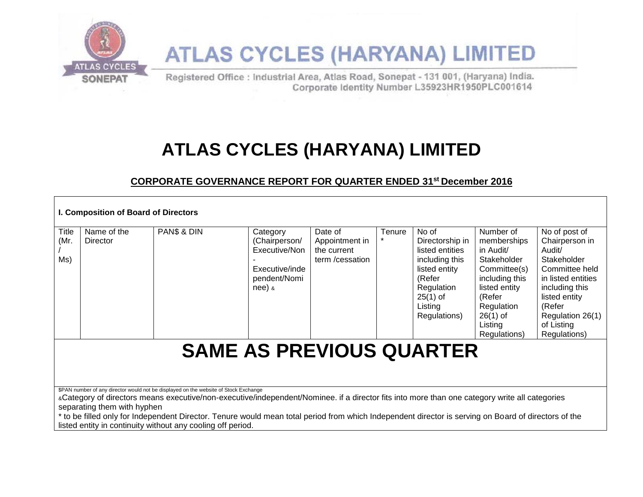

# **ATLAS CYCLES (HARYANA) LIMITED**

Registered Office : Industrial Area, Atlas Road, Sonepat - 131 001, (Haryana) India. Corporate Identity Number L35923HR1950PLC001614

## **ATLAS CYCLES (HARYANA) LIMITED**

### **CORPORATE GOVERNANCE REPORT FOR QUARTER ENDED 31st December 2016**

| I. Composition of Board of Directors |                             |                                                                                                                                                                                                                                                                                                                                                                                                                                                            |                                                                                          |                                                             |        |                                                                                                                                                 |                                                                                                                                                                          |                                                                                                                                                                                                 |  |
|--------------------------------------|-----------------------------|------------------------------------------------------------------------------------------------------------------------------------------------------------------------------------------------------------------------------------------------------------------------------------------------------------------------------------------------------------------------------------------------------------------------------------------------------------|------------------------------------------------------------------------------------------|-------------------------------------------------------------|--------|-------------------------------------------------------------------------------------------------------------------------------------------------|--------------------------------------------------------------------------------------------------------------------------------------------------------------------------|-------------------------------------------------------------------------------------------------------------------------------------------------------------------------------------------------|--|
| Title<br>(Mr.<br>Ms)                 | Name of the<br>Director     | PAN\$ & DIN                                                                                                                                                                                                                                                                                                                                                                                                                                                | Category<br>(Chairperson/<br>Executive/Non<br>Executive/inde<br>pendent/Nomi<br>$nee)$ & | Date of<br>Appointment in<br>the current<br>term /cessation | Tenure | No of<br>Directorship in<br>listed entities<br>including this<br>listed entity<br>(Refer<br>Regulation<br>$25(1)$ of<br>Listing<br>Regulations) | Number of<br>memberships<br>in Audit/<br>Stakeholder<br>Committee(s)<br>including this<br>listed entity<br>(Refer<br>Regulation<br>$26(1)$ of<br>Listing<br>Regulations) | No of post of<br>Chairperson in<br>Audit/<br>Stakeholder<br>Committee held<br>in listed entities<br>including this<br>listed entity<br>(Refer<br>Regulation 26(1)<br>of Listing<br>Regulations) |  |
| <b>SAME AS PREVIOUS QUARTER</b>      |                             |                                                                                                                                                                                                                                                                                                                                                                                                                                                            |                                                                                          |                                                             |        |                                                                                                                                                 |                                                                                                                                                                          |                                                                                                                                                                                                 |  |
|                                      | separating them with hyphen | \$PAN number of any director would not be displayed on the website of Stock Exchange<br>«Category of directors means executive/non-executive/independent/Nominee. if a director fits into more than one category write all categories<br>to be filled only for Independent Director. Tenure would mean total period from which Independent director is serving on Board of directors of the<br>listed entity in continuity without any cooling off period. |                                                                                          |                                                             |        |                                                                                                                                                 |                                                                                                                                                                          |                                                                                                                                                                                                 |  |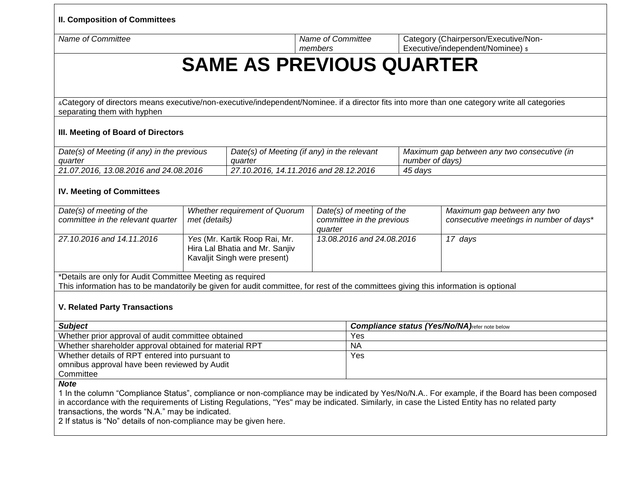**II. Composition of Committees** 

*Name of Committee Name of Committee Name of Committee* 

Category (Chairperson/Executive/Non-Executive/independent/Nominee)  $\frac{1}{2}$ 

## **SAME AS PREVIOUS QUARTER**

&Category of directors means executive/non-executive/independent/Nominee. if a director fits into more than one category write all categories separating them with hyphen

*members* 

#### **III. Meeting of Board of Directors**

| Date(s) of Meeting (if any) in the previous | Date(s) of Meeting (if any) in the relevant | Maximum gap between any two consecutive (in |  |  |
|---------------------------------------------|---------------------------------------------|---------------------------------------------|--|--|
| quarter                                     | quarter                                     | number of days)                             |  |  |
| 21.07.2016, 13.08.2016 and 24.08.2016 [     | 27,10,2016, 14,11,2016 and 28,12,2016       | 45 days                                     |  |  |

#### **IV. Meeting of Committees**

| Date(s) of meeting of the<br>committee in the relevant quarter | <b>Whether requirement of Quorum</b><br>met (details)                                           | Date(s) of meeting of the<br>committee in the previous<br>auarter | Maximum gap between any two<br>consecutive meetings in number of days* |
|----------------------------------------------------------------|-------------------------------------------------------------------------------------------------|-------------------------------------------------------------------|------------------------------------------------------------------------|
| 27.10.2016 and 14.11.2016                                      | Yes (Mr. Kartik Roop Rai, Mr.<br>Hira Lal Bhatia and Mr. Sanjiv<br>Kavaljit Singh were present) | 13.08.2016 and 24.08.2016                                         | 17 days                                                                |

\*Details are only for Audit Committee Meeting as required

This information has to be mandatorily be given for audit committee, for rest of the committees giving this information is optional

#### **V. Related Party Transactions**

| <b>Subject</b>                                         | <b>Compliance status (Yes/No/NA)</b> refer note below |
|--------------------------------------------------------|-------------------------------------------------------|
| Whether prior approval of audit committee obtained     | Yes                                                   |
| Whether shareholder approval obtained for material RPT | NA                                                    |
| Whether details of RPT entered into pursuant to        | Yes                                                   |
| omnibus approval have been reviewed by Audit           |                                                       |
| Committee                                              |                                                       |
|                                                        |                                                       |

*Note* 

1 In the column "Compliance Status", compliance or non-compliance may be indicated by Yes/No/N.A.. For example, if the Board has been composed in accordance with the requirements of Listing Regulations, "Yes" may be indicated. Similarly, in case the Listed Entity has no related party transactions, the words "N.A." may be indicated.

2 If status is "No" details of non-compliance may be given here.